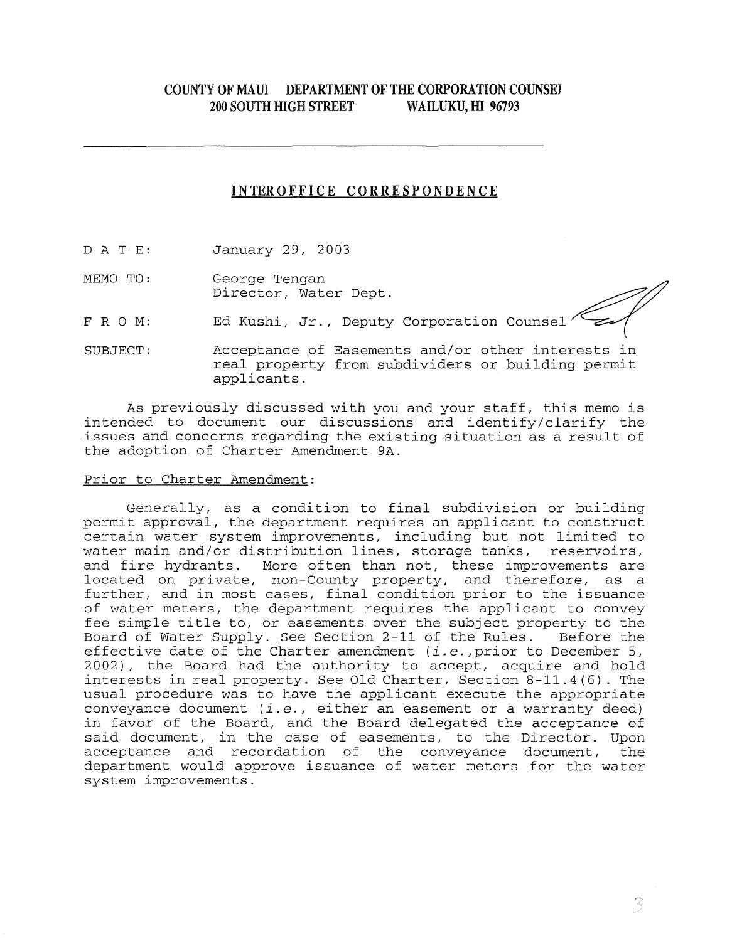# COUNTY OF MAUl DEPARTMENT OF THE CORPORATION COUNSEJ 200 SOUTH HIGH STREET WAILUKU, HI **96793**

# INTEROFFICE CORRESPONDENCE

D A T E: January 29, 2003

MEMO TO: George Tengan Director, Water Dept.

FRO M: Ed Kushi, Jr., Deputy Corporation Counsel

SUBJECT: Acceptance of Easements and/or other interests in real property from subdividers or building permit applicants.

As previously discussed with you and your staff, this memo is intended to document our discussions and identify/clarify the issues and concerns regarding the existing situation as a result of the adoption of Charter Amendment 9A.

### Prior to Charter Amendment:

Generally, as a condition to final subdivision or building permit approval, the department requires an applicant to construct certain water system improvements, including but not limited to<br>water main and/or distribution lines, storage tanks, reservoirs, water main and/or distribution lines, storage tanks, and fire hydrants. More often than not, these improvements are located on private, non-County property, and therefore, as a further, and in most cases, final condition prior to the issuance of water meters, the department requires the applicant to convey fee simple title to, or easements over the subject property to the Board of Water Supply. See Section 2-11 of the Rules. Before the effective date of the Charter amendment *(i.e.,prior* to December 5, 2002), the Board had the authority to accept, acquire and hold interests in real property. See Old Charter, Section 8-11.4(6). The usual procedure was to have the applicant execute the appropriate conveyance document *(i.e.,* either an easement or a warranty deed) in favor of the Board, and the Board delegated the acceptance of said document, in the case of easements, to the Director. Upon acceptance and recordation of the conveyance document, the department would approve issuance of water meters for the water system improvements.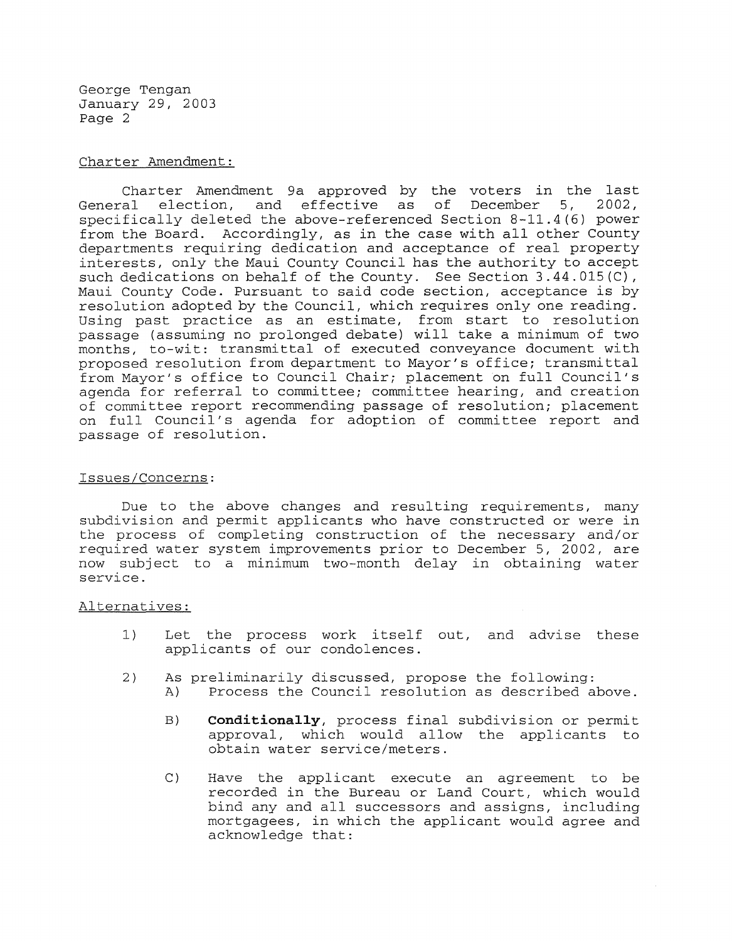George Tengan January 29, 2003 Page 2

### Charter Amendment:

Charter Amendment 9a approved by the voters in the last<br>General election, and effective as of December 5, 2002, election, and effective as specifically deleted the above-referenced Section 8-11.4(6) power from the Board. Accordingly, as in the case with all other County departments requiring dedication and acceptance of real property interests, only the Maui County Council has the authority to accept such dedications on behalf of the County. See Section 3.44.015(C), Maui County Code. Pursuant to said code section, acceptance is by resolution adopted by the Council, which requires only one reading. Using past practice as an estimate, from start to resolution passage (assuming no prolonged debate) will take a minimum of two months, to-wit: transmittal of executed conveyance document with proposed resolution from department to Mayor's office; transmittal from Mayor's office to Council *Chairi* placement on full Council's agenda for referral to *committeei* committee hearing, and creation of committee report recommending passage of resolution; placement on full Council's agenda for adoption of committee report and passage of resolution.

### Issues/Concerns:

Due to the above changes and resulting requirements, many subdivision and permit applicants who have constructed or were in the process of completing construction of the necessary and/or required water system improvements prior to December 5, 2002, are now subject to a minimum two-month delay in obtaining water service.

### Alternatives:

- 1) Let the process work itself out, and advise these applicants of our condolences.
- 2) As preliminarily discussed, propose the following:
	- A) Process the Council resolution as described above.
		- B) **Conditionally,** process final subdivision or permit approval, which would allow the applicants to obtain water service/meters.
		- C) Have the applicant execute an agreement to be recorded in the Bureau or Land Court, which would bind any and all successors and assigns, including mortgagees, in which the applicant would agree and acknowledge that: